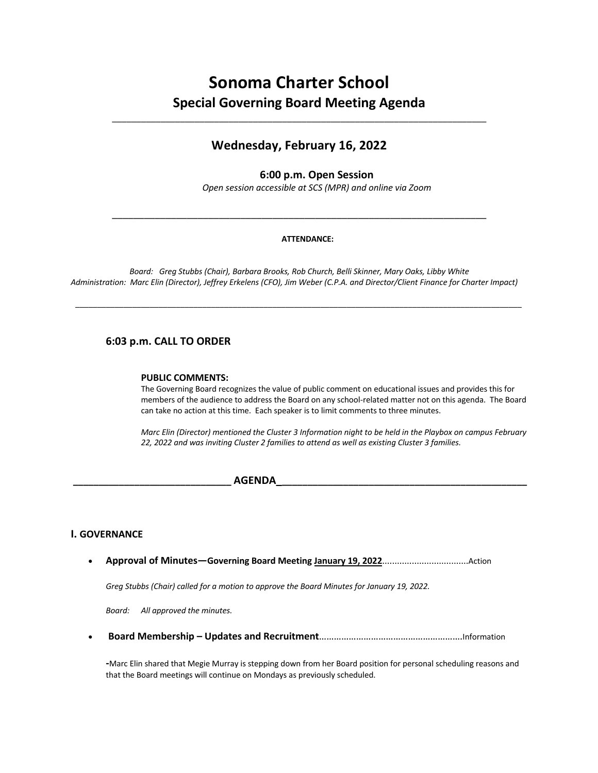# **Sonoma Charter School Special Governing Board Meeting Agenda**

\_\_\_\_\_\_\_\_\_\_\_\_\_\_\_\_\_\_\_\_\_\_\_\_\_\_\_\_\_\_\_\_\_\_\_\_\_\_\_\_\_\_\_\_\_\_\_\_\_\_\_\_\_\_\_\_\_\_\_\_\_\_\_\_\_\_\_\_\_\_\_\_\_\_\_\_\_

# **Wednesday, February 16, 2022**

# **6:00 p.m. Open Session**

*Open session accessible at SCS (MPR) and online via Zoom*

#### **ATTENDANCE:**

\_\_\_\_\_\_\_\_\_\_\_\_\_\_\_\_\_\_\_\_\_\_\_\_\_\_\_\_\_\_\_\_\_\_\_\_\_\_\_\_\_\_\_\_\_\_\_\_\_\_\_\_\_\_\_\_\_\_\_\_\_\_\_\_\_\_\_\_\_\_

*Board: Greg Stubbs (Chair), Barbara Brooks, Rob Church, Belli Skinner, Mary Oaks, Libby White Administration: Marc Elin (Director), Jeffrey Erkelens (CFO), Jim Weber (C.P.A. and Director/Client Finance for Charter Impact)*

*\_\_\_\_\_\_\_\_\_\_\_\_\_\_\_\_\_\_\_\_\_\_\_\_\_\_\_\_\_\_\_\_\_\_\_\_\_\_\_\_\_\_\_\_\_\_\_\_\_\_\_\_\_\_\_\_\_\_\_\_\_\_\_\_\_\_\_\_\_\_\_\_\_\_\_\_\_\_\_\_\_\_\_\_\_\_\_\_\_\_\_\_\_\_\_\_\_\_\_\_\_\_*

# **6:03 p.m. CALL TO ORDER**

#### **PUBLIC COMMENTS:**

The Governing Board recognizes the value of public comment on educational issues and provides this for members of the audience to address the Board on any school-related matter not on this agenda. The Board can take no action at this time. Each speaker is to limit comments to three minutes.

*Marc Elin (Director) mentioned the Cluster 3 Information night to be held in the Playbox on campus February 22, 2022 and was inviting Cluster 2 families to attend as well as existing Cluster 3 families.*

# **\_\_\_\_\_\_\_\_\_\_\_\_\_\_\_\_\_\_\_\_\_\_\_\_\_\_\_\_\_\_\_ AGENDA\_\_\_\_\_\_\_\_\_\_\_\_\_\_\_\_\_\_\_\_\_\_\_\_\_\_\_\_\_\_\_\_\_\_\_\_\_\_\_\_\_\_\_\_\_\_\_\_\_**

### **I. GOVERNANCE**

• **Approval of Minutes—Governing Board Meeting January 19, 2022**...................................Action

*Greg Stubbs (Chair) called for a motion to approve the Board Minutes for January 19, 2022.*

*Board: All approved the minutes.*

• **Board Membership – Updates and Recruitment**………………………………………………….Information

**-**Marc Elin shared that Megie Murray is stepping down from her Board position for personal scheduling reasons and that the Board meetings will continue on Mondays as previously scheduled.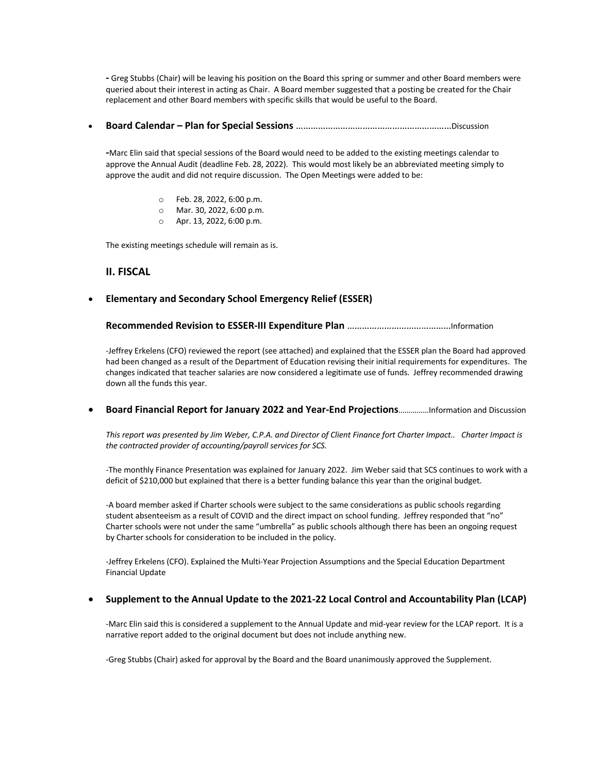**-** Greg Stubbs (Chair) will be leaving his position on the Board this spring or summer and other Board members were queried about their interest in acting as Chair. A Board member suggested that a posting be created for the Chair replacement and other Board members with specific skills that would be useful to the Board.

• **Board Calendar – Plan for Special Sessions** ………………………………………………………Discussion

**-**Marc Elin said that special sessions of the Board would need to be added to the existing meetings calendar to approve the Annual Audit (deadline Feb. 28, 2022). This would most likely be an abbreviated meeting simply to approve the audit and did not require discussion. The Open Meetings were added to be:

- o Feb. 28, 2022, 6:00 p.m.
- o Mar. 30, 2022, 6:00 p.m.
- o Apr. 13, 2022, 6:00 p.m.

The existing meetings schedule will remain as is.

#### **II. FISCAL**

#### • **Elementary and Secondary School Emergency Relief (ESSER)**

**Recommended Revision to ESSER-III Expenditure Plan** ……………………………………Information

-Jeffrey Erkelens (CFO) reviewed the report (see attached) and explained that the ESSER plan the Board had approved had been changed as a result of the Department of Education revising their initial requirements for expenditures. The changes indicated that teacher salaries are now considered a legitimate use of funds. Jeffrey recommended drawing down all the funds this year.

• **Board Financial Report for January 2022 and Year-End Projections**……………Information and Discussion

*This report was presented by Jim Weber, C.P.A. and Director of Client Finance fort Charter Impact.. Charter Impact is the contracted provider of accounting/payroll services for SCS.*

-The monthly Finance Presentation was explained for January 2022. Jim Weber said that SCS continues to work with a deficit of \$210,000 but explained that there is a better funding balance this year than the original budget.

-A board member asked if Charter schools were subject to the same considerations as public schools regarding student absenteeism as a result of COVID and the direct impact on school funding. Jeffrey responded that "no" Charter schools were not under the same "umbrella" as public schools although there has been an ongoing request by Charter schools for consideration to be included in the policy.

-Jeffrey Erkelens (CFO). Explained the Multi-Year Projection Assumptions and the Special Education Department Financial Update

#### • **Supplement to the Annual Update to the 2021-22 Local Control and Accountability Plan (LCAP)**

-Marc Elin said this is considered a supplement to the Annual Update and mid-year review for the LCAP report. It is a narrative report added to the original document but does not include anything new.

-Greg Stubbs (Chair) asked for approval by the Board and the Board unanimously approved the Supplement.